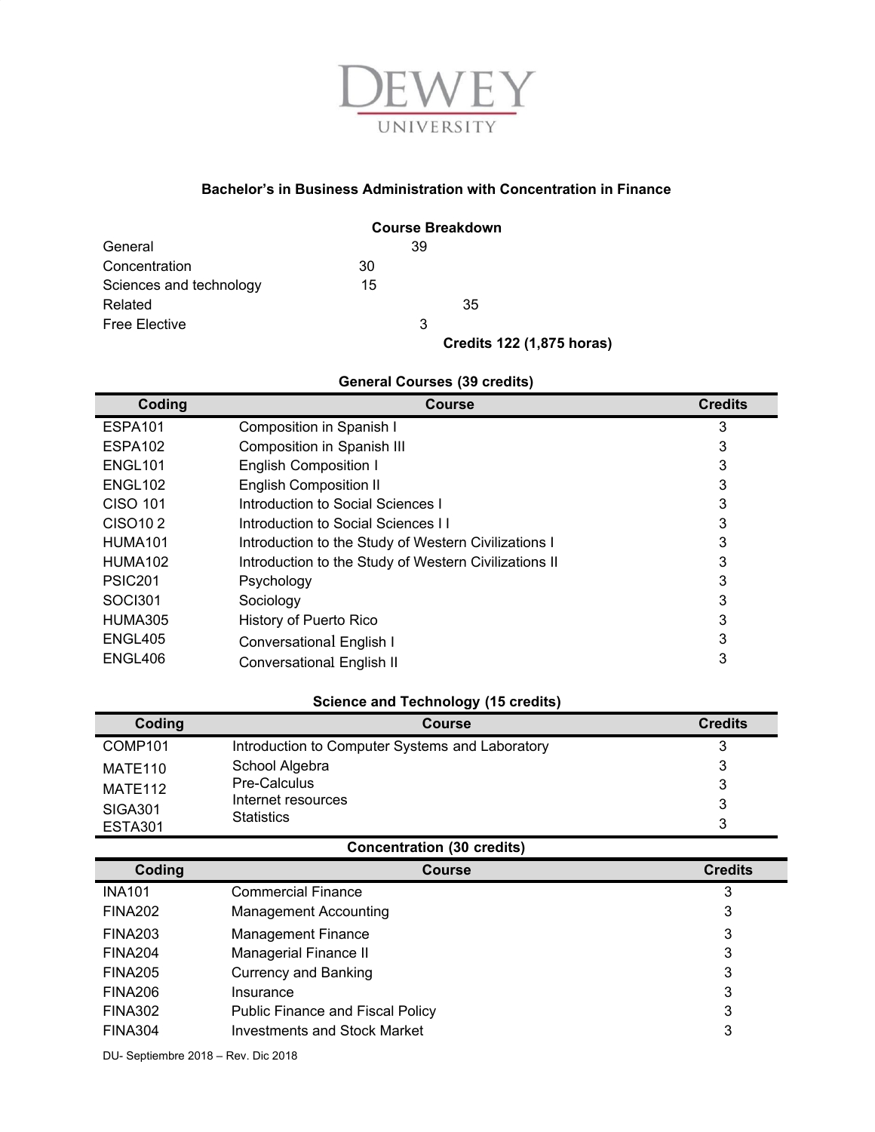

## **Bachelor's in Business Administration with Concentration in Finance**

|                         | <b>Course Breakdown</b> |    |                                  |
|-------------------------|-------------------------|----|----------------------------------|
| General                 |                         | 39 |                                  |
| Concentration           | 30                      |    |                                  |
| Sciences and technology | 15                      |    |                                  |
| Related                 |                         |    | 35                               |
| <b>Free Elective</b>    |                         | 3  |                                  |
|                         |                         |    | <b>Credits 122 (1,875 horas)</b> |

## **General Courses (39 credits)**

| Coding               | <b>Course</b>                                         | <b>Credits</b> |
|----------------------|-------------------------------------------------------|----------------|
| ESPA <sub>101</sub>  | Composition in Spanish I                              | 3              |
| ESPA <sub>102</sub>  | Composition in Spanish III                            | 3              |
| ENGL <sub>101</sub>  | <b>English Composition I</b>                          | 3              |
| ENGL <sub>102</sub>  | <b>English Composition II</b>                         | 3              |
| <b>CISO 101</b>      | Introduction to Social Sciences I                     | 3              |
| CISO <sub>10</sub> 2 | Introduction to Social Sciences II                    | 3              |
| <b>HUMA101</b>       | Introduction to the Study of Western Civilizations I  | 3              |
| HUMA <sub>102</sub>  | Introduction to the Study of Western Civilizations II | 3              |
| <b>PSIC201</b>       | Psychology                                            | 3              |
| SOC <sub>1301</sub>  | Sociology                                             | 3              |
| HUMA305              | History of Puerto Rico                                | 3              |
| ENGL405              | Conversational English I                              | 3              |
| ENGL406              | Conversational English II                             | 3              |

## **Science and Technology (15 credits)**

| Coding              | <b>Course</b>                                   | <b>Credits</b> |
|---------------------|-------------------------------------------------|----------------|
| COMP <sub>101</sub> | Introduction to Computer Systems and Laboratory | 3              |
| MATE110             | School Algebra                                  | 3              |
| MATE <sub>112</sub> | Pre-Calculus                                    | 3              |
| <b>SIGA301</b>      | Internet resources                              | 3              |
| <b>ESTA301</b>      | <b>Statistics</b>                               | 3              |

## **Concentration (30 credits)**

| Coding         | Course                                  | <b>Credits</b> |
|----------------|-----------------------------------------|----------------|
| <b>INA101</b>  | <b>Commercial Finance</b>               | 3              |
| <b>FINA202</b> | <b>Management Accounting</b>            | 3              |
| <b>FINA203</b> | <b>Management Finance</b>               | 3              |
| <b>FINA204</b> | Managerial Finance II                   | 3              |
| <b>FINA205</b> | <b>Currency and Banking</b>             | 3              |
| FINA206        | Insurance                               | 3              |
| <b>FINA302</b> | <b>Public Finance and Fiscal Policy</b> | 3              |
| <b>FINA304</b> | <b>Investments and Stock Market</b>     | 3              |

DU- Septiembre 2018 – Rev. Dic 2018